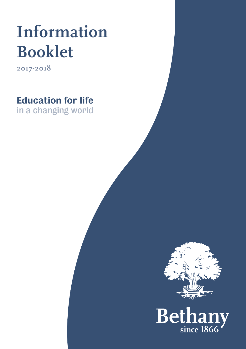# **Information Booklet**

**2017-2018**

Education for life in a changing world

Betl since 1866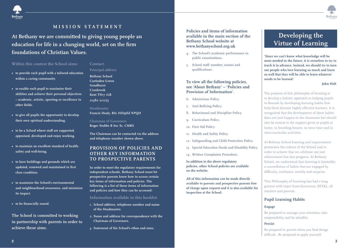



## **MISSION STATEMENT**

**At Bethany we are committed to giving young people an education for life in a changing world, set on the firm foundations of Christian Values.**

#### **Within this context the School aims:**

- **to provide each pupil with a tailored education within a caring community.**
- **to enable each pupil to maximize their abilities and achieve their personal objectives – academic, artistic, sporting or excellence in other fields.**
- **to give all pupils the opportunity to develop their own spiritual understanding.**
- **to be a School where staff are supported, appraised, developed and enjoy working.**
- **to maintain an excellent standard of health, safety and well-being.**
- **to have buildings and grounds which are updated, renewed and maintained in first class condition.**
- **to maximize the School's environmental and neighbourhood awareness, and minimize its impact.**
- **• to be financially sound.**

**The School is committed to working in partnership with parents in order to achieve these aims.**

## **Principal address**

**Contact:**

**Bethany School Curtisden Green Goudhurst Cranbrook Kent TN17 1LB 01580 211273**

**Headmaster Francie Healy, BSc HDipEd NPQH**

**Chairman of Governors Roger Stubbs B Soc Sc, CMRS**

**The Chairman can be contacted via the address and telephone number shown above.**

## **PROVISION OF POLICIES AND OTHER KEY INFORMATION TO PROSPECTIVE PARENTS**

**In order to meet the regulatory requirements for independent schools, Bethany School must let prospective parents know how to access certain key items of information and policies. The following is a list of these items of information and policies and how they can be accessed:**

**Information available in this booklet:**

- **1. School address, telephone number and name of the Headmaster.**
- **2. Name and address for correspondence with the Chairman of Governors.**
- **3. Statement of the School's ethos and aims.**

**Policies and items of information available in the main section of the Bethany School website at www.bethanyschool.org.uk**

- **4. The School's academic performance in public examinations.**
- **5. School staff: number, names and qualifications.**

## **To view all the following policies, see 'About Bethany' – 'Policies and Provision of Information'.**

- **6. Admissions Policy.**
- **7. Anti Bullying Policy.**
- **8. Behavioural and Discipline Policy.**
- **9. Curriculum Policy.**
- **10. First Aid Policy.**
- **11. Health and Safety Policy.**
- **12. Safeguarding and Child Protection Policy.**
- **13. Special Education Needs and Disability Policy.**
- **14. Written Complaints Procedure.**

**In addition to the above regulatory policies, other School policies are available on the website.**

**All of this information can be made directly available to parents and prospective parents free of charge upon request and it is also available for inspection at the School.** 

## **Developing the Virtue of Learning**

**'Since we can't know what knowledge will be most needed in the future, it is senseless to try to teach it in advance. Instead, we should try to turn out people who love learning so much and learn so well that they will be able to learn whatever needs to be learned.'**

## **John Holt**

The purpose of this philosophy of learning is to develop a holistic approach in helping pupils to flourish by developing learning habits that help them become highly effective learners. It is recognised that the development of these habits does not just happen in the classroom but should also be central to the support given to pupils at home, in boarding houses, in tutor time and in extra-curricular activities.

At Bethany School learning and improvement permeates the culture of the School and in order to achieve that we celebrate not just achievement but also progress. At Bethany School, we understand that learning is learnable; a constellation of habits that are engaged by difficulty, confusion, novelty and surprise.

This Philosophy of Learning has had a long genesis with input from Governors, BETAL, all teachers and parents.

## **Pupil Learning Habits**

#### **Engage**

Be prepared to manage your attention, take responsibility and be mindful.

#### **Persist**

Be prepared to persist when you find things difficult. Be prepared to apply yourself.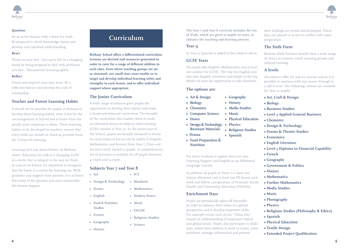

### **Question**

Be an active learner with a thirst for truth. Be prepared to check knowledge claims and develop your spiritual understanding.

#### **React**

Think on your feet - face up to life in a changing world by being prepared to deal with problems you face. Demonstrate learning agility.

#### **Reflect**

Check and improve your own work. Be a reflective learner and develop the craft of scholarship.

## **Teacher and Parent Learning Habits**

It would not be possible for pupils at Bethany to develop these learning habits, were it not for the encouragement at School and at home from the people most important to them. These learning habits, to be developed by teachers, ensure that every child can benefit as much as possible from the Virtues of Learning.

Learning isn't just about School. At Bethany, where 'Education for Life in a changing world' is a motto that is integral to the way we think, do and act in School, it's important to recognise that the home is a centre for learning too. With guidance and support from parents, it is at home that some of the greatest and most memorable life lessons happen.

## **Curriculum**

**Bethany School offers a differentiated curriculum. Lessons are devised and resources generated in order to cater for a range of different abilities in each class. Even where teaching groups are set or streamed, our small class sizes enable us to target and develop individual learning styles and strengths in each lesson, and to offer individual support where appropriate.**

## **The Junior Curriculum**

A wide range of subjects gives pupils the opportunity to develop their talents and study a broad and balanced curriculum. The breadth of the curriculum also enables them to make an informed choice of subjects when starting GCSE courses in Year 10. In the junior part of the School, pupils are broadly streamed in forms for most subjects but are set by ability in English, Mathematics and Science from Year 7. Class and set sizes rarely exceed 17 pupils. A comprehensive list of activities is available for all pupils between 4.00pm and 5.00pm.

## **Subjects Year 7 and Year 8**

- **Art • ICT**
- **Design & Technology • Mandarin**
- **Drama • Mathematics**
- 
- **Food & Nutrition • Music Studies**
- **French**
- **Geography**
- **History**

**The Year 7 and Year 8 curricula includes the use of iPads, which are given to pupils on entry, to enhance the teaching and learning process.**

## **Year 9**

In Year 9 Spanish is added to the subjects above.

## **GCSE Years**

All pupils take English, Mathematics and at least one science for GCSE. The top two English sets also take English Literature and pupils in the top Maths set have the opportunity to take Statistics.

## **The options are:**

- **Art & Design**
- **Biology**

**• Dance**

- **Chemistry**
- **Computer Science**
	- **Music • Physical Education**

**• Spanish**

**• Geography • History • Media Studies**

- **Design & Technology: Physics Resistant Materials • Religious Studies**
- **Drama**
- **Food Preparation &** 
	- **Nutrition**

For those to whom it applies there are also Learning Support and English as an Additional Language courses.

In addition all pupils in Years 7-11 have one Games afternoon and at least one PE lesson each week and follow a programme of Personal, Social, Health and Citizenship Education (PSHCE).

## **Enrichment Days**

Pupils are periodically taken off timetable in order to enhance their sense of a global perspective and to develop important skills. For example events such as our "China Day" impart an understanding of important topical and global issues. Pupils also participate in skills days, where their abilities to work in teams, solve problems, manage information and present

their findings are tested and developed. These days are placed so as not to conflict with exam preparation.

## **The Sixth Form**

Bethany Sixth Formers benefit from a wide range of choice in courses, small teaching groups and tailored tutoring.

## **A levels**

All subjects offer AS and A2 courses and so it is possible to continue with any course through to a full A level. The following courses are available for Year 12 pupils:

- **Art, Craft & Design**
- **Biology**
- **Business Studies**
- **Level 3 Applied General Business**
- **Chemistry**
- **Design & Technology**
- **Drama & Theatre Studies**
- **Economics**
- **English Literature**
- **Level 3 Diploma in Financial Capability**
- **French**
- **Geography**
- **Government & Politics**
- **History**
- **Mathematics**
- **Further Mathematics**
- **Media Studies**
- **Music**
- **Photography**
- **Physics**
- **Religious Studies (Philosophy & Ethics)**
- **Spanish**
- **Physical Education**
- **Textile Design**
- **Extended Project Qualification**
- 
- **English • Modern Dance**
	- -
		-
		-
	-
	-

- 
- **• PSCHE**
	- **• Religious Studies**

#### **• Science**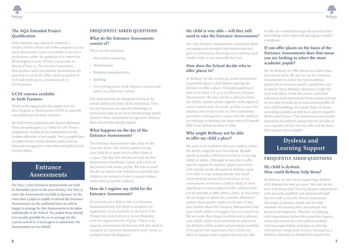

## **The AQA Extended Project Qualification**

Sixth Formers may choose to research a subject of their choice and either prepare a 5,000 word dissertation, create an artefact or put on a production, under the guidance of a supervisor. Work begins in June of Year 12 and ends in March of Year 13. The record of procedure, final product and a ten minute presentation are assessed to award the EPQ, which is graded A\* to E and worth up to a maximum of 70 UCAS points.

## **GCSE courses available to Sixth Formers**

There is the opportunity for pupils to re-sit their English or Mathematics GCSE in specially timetabled sets for Sixth Formers.

All Sixth Form pupils have one Games afternoon. They also participate in a "Body for Life" fitness programme. As part of our commitment to the broader education of our pupils, Year 12 pupils have a weekly lecture, which includes topics such as financial management, road safety and political and current affairs.

## **Entrance Assessments**

For Year 7 entry Entrance Assessments are held in November prior to the year of entry. For Year 9 entry the Assessments are held in January. In the event that a pupil is unable to attend the Entrance Assessments on the published date we will be happy to arrange for the Assessments to be taken individually at the School. For pupils from abroad it is usually possible for us to arrange for the current school or a local agent to administer the Assessments on our behalf.

## **FREQUENTLY ASKED QUESTIONS**

## **What do the Entrance Assessments consist of?**

There are five elements:

- Non-verbal reasoning;
- Mathematics;
- Reading comprehension;
- Spelling;
- Free writing (each child chooses a picture and uses it as a basis for a story).

The Assessments are designed to look at the overall ability and skills of the individual. They are not based on any specific knowledge or curriculum base so as not to disadvantage pupils whatever their educational background. Bethany does not provide sample papers.

## **What happens on the day of the Entrance Assessments?**

The Entrance Assessments take place in the Function Suite. You will be asked to bring your child by 9.15am and to collect them at 2.15pm. The day will include not only the five Assessments but breaks, lunch, and a tour of the School with senior pupils. We aim to make the day as relaxed and informal as possible and children are invited to come in casual clothes rather than in school uniform.

## **How do I register my child for the Entrance Assessments?**

If you wish your child to take our Entrance Assessments you will need to complete our Application Form (available in the back of the Prospectus) and to return it to our Registrar with the registration fee of  $f$ 100. There is no separate examination fee but you will also need to complete an Entrance Assessment form which is available from the Registrar.

## **My child is very able – will they still need to take the Entrance Assessments?**

Yes. Our Entrance Assessments sometimes show up unexpected strengths and weaknesses and give us information that helps us to address each child's needs in the most effective way.

## **How does the School decide who to offer places to?**

At Bethany we like to have as much information as possible about a child before making the decision to offer a place. All pupils applying to join us in Years 7, 8, 9 or 10 take our Entrance Assessments. We also ask for a reference from the child's current school, together with copies of recent reports and, of course, we like to meet the children who want to join us. This assessment procedure is designed to ensure that the children we welcome to Bethany are those who will benefit fully from all that we have to offer.

## **Why might Bethany not be able to offer my child a place?**

We need to be confident that your child is within the ability range for our curriculum. Broadly speaking pupils at Bethany should be of average ability or above. Although we are able to offer special support for dyslexic pupils and others with similar needs, all pupils at Bethany need to be able to cope independently with small class teaching across the curriculum. If our assessments reveal that a child is likely to need significant in-class support it will, unfortunately, not be possible to offer them a place. In this event we are happy to advise on a suitable alternative school where pupils' needs can be met. If you have doubts about the Entrance Assessments and your child's ability we suggest that you consult us. We are more than happy to advise and to discuss your child's ability level and needs in relation to the Bethany ability profile and provision available. If we gained the impression that a child was likely to require more support than we are able

to offer we would discourage the parents from proceeding rather than risk damaging a child's confidence.

## **If you offer places on the basis of the Entrance Assessments does that mean you are looking to select the most academic pupils?**

No. At Bethany we offer places on a first come, first served basis. We do not use the Entrance Assessments to select the most academic pupils but to measure pupils' capabilities and to ensure that a Bethany education is right for each individual. From the results, and from references and information from current schools, we are able to build up an educational profile of each child enabling us to place them in forms according to ability as well as in sets for English, Maths and Science. This assessment and careful placement of children means that we are able to cater equally well for the very able and for those who require more support.

## **Dyslexia and Learning Support**

## **FREQUENTLY ASKED QUESTIONS**

## **My child is dyslexic. How could Bethany help them?**

**A**t Bethany we have been supporting children with dyslexia for over 40 years. Not only do we have a Dyslexia and Learning Support department with specially qualified and experienced staff but our staff across the School understand the needs of dyslexic pupils and the best methods of ensuring their educational and personal development. Whether it's helping with organisation before the school day begins; ensuring homework is recorded accurately; teaching organisation strategies or sharing information using multi-sensory techniques, a Bethany education is designed to support the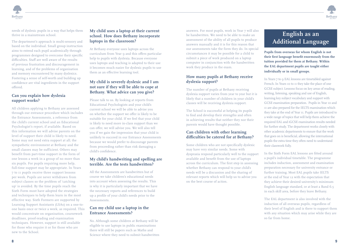needs of dyslexic pupils in a way that helps them thrive in a mainstream school.

The department's approach is multi-sensory and based on the individual. Small group instruction aims to extend each pupil academically through programmes designed to overcome their specific difficulties. Staff are well aware of the results of previous frustration and discouragement in learning, and of the problems of organisation and memory encountered by many dyslexics. Fostering a sense of self-worth and building up confidence are vital ingredients in the support offered.

## **Can you explain how dyslexia support works?**

All children applying to Bethany are assessed through our entrance procedure which includes the Entrance Assessments, a reference from the child's current school and an Educational Psychologist's report, if available. Based on this information we will advise parents on the level of support their child is likely to need. Some may not need extra support at all; the sympathetic environment at Bethany and the small classes may be sufficient. Others may benefit from part-time support in the form of one lesson a week in a group of no more than six pupils. For pupils requiring more help, full-time support may be appropriate. In Years 7 to 11 pupils receive three support lessons per week. Pupils are never withdrawn from subject classes so the problem of 'catching up' is avoided. By the time pupils reach the Sixth Form most have adopted the strategies and techniques to help them learn in the most effective way. Sixth Formers are supported by Learning Support Assistants (LSAs) on a one-toone basis once or twice a week, as required. This would concentrate on organisation, coursework deadlines, proof-reading and examination techniques. However, support is still available for those who require it or for those who are new to the School.

## **My child uses a laptop at their current school. How does Bethany incorporate laptops in the classroom?**

At Bethany everyone uses laptops across the curriculum from Year 9 and this offers particular help to pupils with dyslexia. Because everyone uses laptops and teaching is adapted to their use it becomes much easier for dyslexic pupils to use them as an effective learning tool.

## **My child is severely dyslexic and I am not sure if they will be able to cope at Bethany. What advice can you give?**

Please talk to us. By looking at reports from Educational Psychologists and your child's current school we will be able to advise you on whether the support we offer is likely to be suitable for your child. If we feel that your child is likely to need more in-class support than we can offer, we will advise you. We will also tell you if we gain the impression that your child is unlikely to succeed in our Entrance Assessments because we would prefer to discourage parents from proceeding rather than risk damaging a child's confidence.

## **My child's handwriting and spelling are terrible. Are the tests handwritten?**

All the Assessments are handwritten but of course we take children's educational needs into account when assessing the results. This is why it is particularly important that we have the necessary reports and references to build up a profile of your child's needs prior to the Assessments.

## **Can my child use a laptop in the Entrance Assessments?**

No. Although some children at Bethany will be eligible to use laptops in public examinations there will still be papers such as Maths and Science where they need to submit handwritten answers. For most pupils, work in Year 7 will also be handwritten. We need to be able to make an assessment of the ability of all pupils to produce answers manually and it is for this reason that our assessments take the form they do. In special circumstances it may be possible for a child to submit a piece of work produced on a laptop computer in conjunction with the handwritten work they produce in the exam.

## **How many pupils at Bethany receive dyslexia support?**

The number of pupils at Bethany receiving dyslexia support varies from year to year but it is likely that a number of children in your child's classes will be receiving dyslexia support.

The School is successful at helping its pupils to find and develop their strengths and often in achieving results that neither they nor their parents would have thought possible.

## **Can children with other learning difficulties be catered for at Bethany?**

Some children who are not specifically dyslexic may have very similar needs. Some with dyspraxia respond particularly well to the support available and benefit from the use of laptops across the curriculum. The first step in assessing whether Bethany can respond to your child's needs will be a discussion and the sharing of relevant reports which will help us to advise you on the best course of action.

## **English as an Additional Language**

**Betham** 

**Pupils from overseas for whom English is not their first language benefit enormously from the tuition provided for them at Bethany. Within the EAL department pupils are taught either individually or in small groups.**

In Years 7 to 9 EAL lessons are timetabled against French. In Years 10 to 11 they take the place of one GCSE subject. Lessons focus on key areas of reading, writing, listening, speaking and use of English, learning key subject vocabulary and support with GCSE examination preparation. Pupils in Year 10 and 11 are also prepared for the IELTS examination which they take at the end of Year 11. Pupils are introduced to a wide range of topics that will help them achieve the required EAL and iGCSE examination results needed for further study. The department works closely with other academic departments to ensure that the work that goes on is beneficial, allowing the international pupils the extra time they often need to understand their classwork fully.

In the Sixth Form EAL lessons are fitted around a pupil's individual timetable. The programme includes induction, assessment and examination preparation necessary for university entrance or further training. Most EAL pupils take IELTS at the end of Year 12 with the expectation that they achieve their desired university's minimum English language standard, or at least a Band 6.5 in each skill area, before they leave Bethany.

The EAL department is also involved with the induction of all overseas pupils, regardless of their level of English and is there to support them with any situation which may arise while they are so far from home.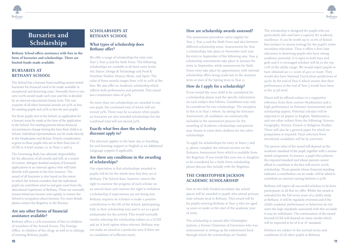



## **Bursaries and Scholarships**

**Bethany School offers assistance with fees in the form of bursaries and scholarships. There are limited funds made available.**

## **BURSARIES AT BETHANY SCHOOL**

The School has a bursary fund enabling means tested bursaries for financial need to be made available in exceptional and deserving cases. Normally there is one new 100% award made each year and this is decided by an external educational charity trust. The vast majority of all other bursarial awards are 50% or less for existing pupils and 30% or less for new pupils.

For those pupils new to the School, an application for a bursary must be made at the time of the application to the School. For existing parents whose financial circumstances change during the time their child is at School, individual representations can be made directly to the Headmaster and Bursar. Priority consideration is given to those pupils who are in their final year of GCSE or A level courses, i.e. in Years 11 and 13.

The Governing Body has ultimate responsibility for the allocation of all awards and will, as a matter of routine, delegate detailed analysis of bursarial applications to an external agency who will liaise directly with parents in the first instance. The award of all bursaries is also based on the extent to which the School considers that the individual pupil can contribute most to and gain most from the educational experience at Bethany. These are normally means-tested (on income and capital), to ensure the School is scrupulous about fairness. For more details please contact the Registrar or the Bursary.

## **Are any other forms of financial assistance available?**

Bethany offers a 10% remission of fees to children of members of the Armed Forces, The Foreign Office, to children of the clergy as well as to siblings of existing Bethany pupils.

## **SCHOLARSHIPS AT BETHANY SCHOOL**

## **What types of scholarship does Bethany offer?**

We offer a range of scholarships for entry into Year 7, Year 9 and the Sixth Form. The following scholarships are available at all three entry levels: Art; Dance; Design & Technology and Food & Nutrition Studies; Drama; Music, and Sport. The value of these awards ranges from 10% to 20% of the fees. We also offer an Academic scholarship which reflects both performance and potential. This award has a maximum value of 40%.

No more than two scholarships are awarded to any one pupil, the combined total of which will not exceed 50%. There may be occasions when pupils on bursaries are also awarded scholarships but the combined total will not exceed 50%.

## **Exactly what fees does the scholarship discount apply to?**

The discount applies to the basic day or boarding fee and learning support or English as an Additional Language support if applicable.

## **Are there any conditions in the awarding of scholarships?**

Our expectation is that scholarships awarded to pupils will be for the whole time that they are at Bethany. The School does, however, reserve the right to examine the progress of each scholar on an annual basis and reserves the right to withdraw a scholarship if expectations are not being met. Bethany requires its scholars to make a positive contribution to the life of the School, participating fully in their scholarship area and to act as a good ambassador for the activity. This would normally involve selecting the scholarship subject as a GCSE and an A level option when relevant. Bethany may not make an award in a particular area if there are no candidates of sufficient merit.

## **How are scholarship awards assessed?**

The assessment procedure varies slightly for Year 7, Year 9 and the Sixth Form and also between different scholarship areas. Assessments for Year 7 scholarships take place in November each year for entry in September of the following year. Year 9 scholarship assessments take place in January for entry in September, while assessments for Sixth Form entry take place by appointment, with internal scholarship offers being made late in the Autumn term or start of the Spring term in Year 11.

## **How do I apply for a scholarship?**

If you would like your child to be considered for a scholarship please read the specific information on each subject that follows. Candidates may only be considered for two scholarships. The exception to this is in Year 7 where, by sitting the Entrance Assessment, all candidates are automatically included in the assessment process for the awarding of Academic scholarships and parents may choose to enter their children for two other scholarships.

To apply for scholarships for entry in Years 7 and 9, please complete the relevant section on the Entrance Assessment form which is available from the Registrar. If you would like your son or daughter to be considered for a Sixth Form scholarship, please discuss this initially with the Registrar.

## **THE CHRISTOPHER JACKSON ACADEMIC SCHOLARSHIP**

One or two fully funded secondary day school places will be awarded to pupils who attend primary state schools local to Bethany. This award will be for pupils entering Bethany at Year 9 who are aged 14 years or under at the start of the academic year of entry.

The scholarship is named after Christopher Jackson, a former Chairman of Governors who was instrumental in setting up the endowment fund through which the scholarships are funded.

The scholarship is designed for pupils who are particularly able and have a capacity for academic excellence. It can be worth up to 100% of School fees (subject to means testing) for the pupil's entire secondary education. Thus it offers a first class education to deserving pupils who have strong academic potential. It is open to both boys and girls and it is envisaged scholars will be in the top 10% of the ability range. We would expect pupils to have obtained an II+ score of 400 or more. They would also have National Curriculum predictions of 5a/6c by the end of Year 6 which means that their performance at the end of Year 5 would have been at the 5c/5b level.

Places will be offered subject to a supportive reference from their current Headteacher and a high performance in Entrance Assessments and scholarship papers. Potential scholars will be expected to sit papers in English, Mathematics, and one other subject from the following: Science, Geography, History, French or Religious Studies. There will also be a general paper for which no preparation is required. Final selection from shortlisted candidates will be by interview.

The precise value of the award will depend on the academic standard of the pupil, together with a means tested component. In essence, a pupil who achieves the required standard and whose parents cannot afford to contribute to the fees will receive 100% scholarship. Those parents whose financial standing indicates a contribution can be made, will be asked to contribute an amount varying between 0-50%.

Bethany will expect all successful scholars to be keen participants in all that we offer. Whilst the award is intended for the full seven years of a child's study at Bethany, it will be regularly reviewed and if the child's academic performance or behaviour do not meet the high standards associated with this accolade it may be withdrawn. The continuation of the award beyond GCSE will depend on exam results which will be expected to be of A or A\* standard.

Scholars are subject to the normal terms and conditions of all other pupils at Bethany.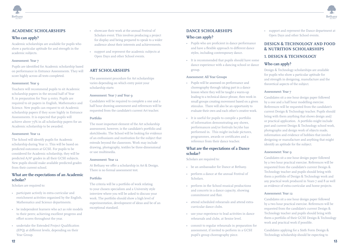

## **ACADEMIC SCHOLARSHIPS Who can apply?**

Academic scholarships are available for pupils who show a particular aptitude for and strength in the academic subjects.

#### Assessment: Year 7

Pupils are identified for Academic scholarship based on performance in Entrance Assessments. They will score highly across all tests completed.

#### Assessment: Year 9

Teachers will recommend pupils to sit Academic scholarship papers in the second half of Year 8, in preparation for Year 9 entry. Pupils are required to sit papers in English, Mathematics and Science. New pupils can request to sit Academic scholarship papers if they score highly in Entrance Assessments. It is expected that pupils will achieve above 75% in all scholarship papers for an Academic scholarship to be awarded.

#### Assessment: Year 12

The School will identify pupils for Academic scholarship during Year 11. This will be based on predicted outcomes at GCSE. For pupils to be considered for Academic scholarship, they will be predicted A/A\* grades in all their GCSE subjects. New pupils should make available predicted grades from their current school.

## **What are the expectations of an Academic scholar?**

Scholars are required to:

- participate actively in extra-curricular and enrichment activities organised by the English, Mathematics and Science departments.
- be independent learners who act as role models to their peers; achieving excellent progress and effort scores throughout the year.
- undertake the Extended Project Qualification (EPQ) at different levels, depending on their Year Group.
- showcase their work at the annual Festival of Scholars event. This involves producing a project for display and being prepared to speak to a wider audience about their interests and achievements.
- support and represent the academic subjects at Open Days and other School events.

## **ART SCHOLARSHIPS**

The assessment procedure for Art scholarships varies depending on which entry point your scholarship starts

#### Assessment: Year 7 and Year 9

Candidates will be required to complete a one and a half hour drawing assessment and references will be requested from the candidate's current Art teacher.

#### Portfolio

The most important element of the Art scholarship assessment, however, is the candidate's portfolio and sketchbooks. The School will be looking for evidence of an enthusiasm and motivation for the subject that extends beyond the classroom. Work may include drawing, photography, textiles be three-dimensional or use multimedia.

#### Assessment: Year 12

At Bethany we offer a scholarship in Art & Design. There is no formal assessment test.

#### Portfolio

The criteria will be a portfolio of work relating to your chosen specialism and a University style interview where you will be asked to discuss your work. The portfolio should show a high level of experimentation, development of ideas and be of an exceptional standard.

## **DANCE SCHOLARSHIPS**

## **Who can apply?**

- Pupils who are proficient in dance performance and have a flexible approach to different dance styles, including contemporary dance.
- It is recommended that pupils should have some dance experience with a dancing school or dance group.

#### Assessment: All Year Groups

- Pupils will be assessed on performance and choreography through taking part in a dance lesson where they will be taught a warm-up leading to a technical dance phrase, then work in small groups creating movement based on a given stimulus. There will also be an opportunity to evaluate their own and each other's creative work.
- It is useful for pupils to compile a portfolio of information demonstrating any shows, performances and/or festivals he/she has performed in. This might include pictures, programmes, awards or certificates and a reference from their dance teacher.

#### **What are the expectations of a Dance scholar?**

Scholars are required to:

- be an ambassador for Dance at Bethany.
- perform a dance at the annual Festival of Scholars.
- perform in the School musical productions and concerts in a dance capacity, showing commitment and flair.
- attend scheduled rehearsals and attend extracurricular dance clubs.
- use your experience to lead activities in dance rehearsals and clubs, at Senior level.
- commit to regular rehearsals in preparation for assessment, if invited to perform in a GCSE pupil's group choreography piece.

• support and represent the Dance department at Open Days and other School events.

**Betham** 

## **DESIGN & TECHNOLOGY AND FOOD & NUTRITION SCHOLARSHIPS**

### **1. DESIGN & TECHNOLOGY**

## **Who can apply?**

Design & Technology scholarships are available for pupils who show a particular aptitude for and strength in designing, manufacture and the theoretical aspects of the subject.

#### Assessment: Year 7

Candidates sit a one hour design paper followed by a one and a half hour modelling exercise. References will be requested from the candidate's current Design & Technology teacher. Pupils should bring with them anything that shows design and/ or practical application. A portfolio might include past and current Design & Technology school work, photographs and design work of objects made, information and evidence of hobbies that involve designing or manufacture and anything that might identify an aptitude for the subject.

#### Assessment: Year 9

Candidates sit a one hour design paper followed by a two hour practical exercise. References will be requested from the candidate's current Design & Technology teacher and pupils should bring with them a portfolio of Design & Technology work and any practical work produced in Years 7 and 8 as well as evidence of extra-curricular and home projects.

#### Assessment: Year 12

Candidates sit a one hour design paper followed by a two hour practical exercise. References will be requested from the candidate's current Design & Technology teacher and pupils should bring with them a portfolio of their GCSE Design & Technology work and practical work if possible.

Candidates applying for a Sixth Form Design & Technology scholarship should be expecting to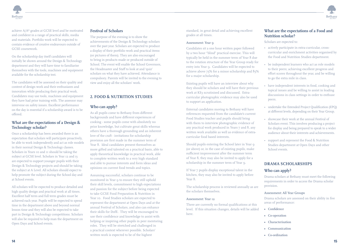



achieve A/A\* grades at GCSE level and be motivated and confident in a range of practical skills, media and materials. Portfolio work will be expected to contain evidence of creative endeavours outside of GCSE coursework.

On the scholarship day itself candidates will initially be shown around the Design & Technology department and they will have time to familiarise themselves with the tools, machines and equipment available for the scholarship test.

The candidates will be assessed on their quality and content of design work and their enthusiasm and innovation while producing their practical work. Candidates may use tools, machines and equipment they have had prior training with. The assessor may intervene on safety issues. Excellent performance on the day is essential if a scholarship award is to be offered.

## **What are the expectations of a Design & Technology scholar?**

Once a scholarship has been awarded there is an expectation that scholars will participate proactively, be able to work independently and act as role models in their normal Design & Technology classes. Scholars in Years 10 and 11 should be taking the subject at GCSE level. Scholars in Year 12 and 13 are expected to support younger pupils with their Design & Technology projects and should be taking the subject at A Level. All scholars should expect to help promote the subject during the School day and at School events.

All scholars will be expected to produce detailed and high quality design and practical work at all times. Excellent half term and full term grades must be achieved each year. Pupils will be expected to spend time in the department above and beyond normal lesson time and they will also be expected to take part in Design & Technology competitions. Scholars will also be required to help man the department on Open Days and School events.

## **Festival of Scholars**

The purpose of the evening is to show the achievements of the Design & Technology scholars over the past year. Scholars are expected to produce a display of their portfolio work and practical items (or pictures of them). They are also encouraged to bring in products made or produced outside of School. The event will enable the School Governors, the Headmaster and Staff to look at and 'quiz' scholars on what they have achieved. Attendance is compulsory. Parents will be invited to the evening to view and enjoy all the scholars' work.

## **2. FOOD & NUTRITION STUDIES**

## **Who can apply?**

As all pupils come to Bethany from different backgrounds and have different experiences of cooking - some pupils come with absolutely no prior knowledge, but cultivate great skills whereas others have a thorough grounding and an inherent love of the craft - invitations for scholarship provision are first made in the summer term of Year 8. Ideal candidates present themselves as more gifted and talented on a practical basis, able to apply theoretical knowledge in practical work, able to complete written work to a very high standard and able to pursue interests and form ideas and opinions on current food trends and topics.

Assuming successful, scholars continue to be monitored in Year 9 to ensure they still uphold their skill levels, commitment to high expectations and passion for the subject before being expected to take GCSE Food Preparation & Nutrition in Year 10. Food Studies scholars are expected to represent the department at Open Days and at the annual Festival of Scholars, and also can enhance their skills for DofE. They will be encouraged to use their confidence and knowledge to assist with helping or inspiring other pupils in peer mentoring roles. They will be stretched and challenged in a practical context wherever possible. Scholars' written work is expected to be of the highest

standard, in great detail and achieving excellent grades at all times.

#### Assessment: Year 9

Candidates sit a one hour written paper followed by a two hour "blind" practical exercise. This will typically be held in the summer term of Year 8 due to the rotation structure of the Year Group ready for entry into Year 9. Candidates will be expected to achieve above 75% for a minor scholarship and 85% for a major scholarship.

Existing pupils will have an interview about why they should be scholars and will have their previous work at KS3 scrutinised and discussed. Extracurricular photographic evidence may also be used to support an application.

External candidates moving to Bethany will have references requested from the candidate's current Food Studies teacher and pupils should bring with them to interview photographic evidence of any practical work produced in Years 7 and 8, any written work available as well as evidence of extracurricular food based interests.

Should pupils entering the School later in Year 9 (or above) or, in the case of existing pupils, make sufficient improvement after the summer term of Year 8, they may also be invited to apply for a scholarship in the summer term of Year 9.

If Year 7 pupils display exceptional talent in the kitchen, they may also be invited to apply before Year 8.

The scholarship process is reviewed annually as are the scholars themselves.

#### Assessment: Year 12

There are currently no formal qualifications at this level. If this situation changes, details will be added here.

## **What are the expectations of a Food and Nutrition scholar?**

Scholars are expected to:

- actively participate in extra-curricular, crosscurricular and enrichment activities organised by the Food and Nutrition Studies department.
- be independent learners who act as role models to their peers; achieving excellent progress and effort scores throughout the year, and be willing to go the extra mile in class.
- have independent interests in food, cooking and topical issues and be willing to assist in leading discussions in class settings in order to enthuse peers.
- undertake the Extended Project Qualification (EPQ) at different levels, depending on their Year Group.
- showcase their work at the annual Festival of Scholars event. This involves producing a project for display and being prepared to speak to a wider audience about their interests and achievements.
- support and represent the Food & Nutrition Studies department at Open Days and other School events.

## **DRAMA SCHOLARSHIPS**

## **Who can apply?**

Drama scholars at Bethany must meet the following requirements in order to access the Drama scholar provision.

#### Assessment: All Year Groups

Drama scholars are assessed on their ability in five areas of performance:

- **• Confidence**
- **• Co-operation**
- **• Characterisation**
- **• Communication**
- **• Co-ordination**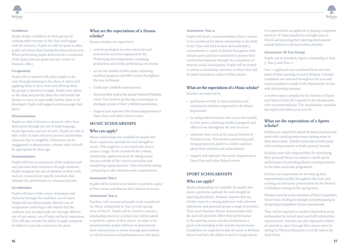



### Confidence:

Pupils display confidence in their groups by working with everyone in the class and engage with the stimulus. Pupils are able to speak to other pupils and share ideas during the rehearsal process. When performing pupils demonstrate a command of the space and use pause and eye contact to dramatic effect.

#### Co-operation:

Pupils will co-operate with other pupils in the class through listening to the ideas of others and applying them in their work and offering ideas for groups or partners to apply. Pupils trust others in the class and provide ideas that will enable the Drama to move on and enable further ideas to be developed. Pupils will support and encourage their peers.

### Characterisation:

Pupils are able to become a character other than themselves through the use of body language, facial expression and use of voice. Pupils are able to take "risks" in their rehearsal process and develop character that is insightful. Characters can be exaggerated to demonstrate a theatre style and will be appropriate for their age.

#### Communication:

Pupils will have an awareness of the audience and can articulate their intentions through character. Pupils recognise the use of emotion in their work and can communicate specific emotions that enhance the performance or rehearsal process.

#### Co-ordination:

Pupils will move with a sense of purpose and character through the confident use of mime. Pupils will also demonstrate effective use of imagination and bring to life objects that the audience may not physically see through effective use of eye contact, use of body and facial expression. This will also include the ability to apply moments of stillness to provide contrast to the piece.

### **What are the expectations of a Drama scholar?**

Drama scholars are expected to:

- actively participate in extra-curricular and enrichment activities organised by the Performing Arts department, including production and termly performing arts events;
- act as role models to their peers; achieving excellent progress and effort scores throughout the year in Drama;
- Undertake LAMDA examinations;
- showcase their work at the annual Festival of Scholars event. This involves producing a monologue or duologue as part of their LAMDA examination;
- Support and represent the Drama department at Open Days and other School events.

## **MUSIC SCHOLARSHIPS**

#### **Who can apply?**

Music scholarships are available for pupils who show a particular aptitude for and strength in music. This might be in one particular area or across a range. To be considered for a Music scholarship, applicants must be taking music lessons outside of the school curriculum and completing regular practice. They should be taking / preparing to take external music examinations.

#### Assessment: Year 7

Pupils will be invited in to School to perform a piece of their choice and discuss their interest in music.

#### Assessment: Year o

Teachers will recommend pupils to be considered for Music scholarship in Year 9 in the spring term of Year 8. Pupils will be invited to attend a scholarship interview at which they will be asked to perform a piece of their choice. In order to be recommended, pupils will have to demonstrate their commitment to music through participation in school concerts and performances to this point.

#### Assessment: Year 12

Pupils will need a recommendation from a teacher to be considered for Music scholarship in the Sixth Form. They will need to have demonstrated a commitment to music in School throughout their School career and have continued to pursue their musical development through the completion of external music examination. Pupils will be invited to attend a scholarship interview at which they will be asked to perform a piece of their choice.

## **What are the expectations of a Music scholar?**

Scholars are expected to:

- participate actively in extra-curricular and enrichment activities organised by the Music department
- be independent learners who act as role models to their peers; achieving excellent progress and effort scores throughout the year in music
- showcase their work at the annual Festival of Scholars event. This involves performing and being prepared to speak to a wider audience about their interests and achievements
- support and represent the music department at Open Days and other School events.

## **SPORT SCHOLARSHIPS**

#### **Who can apply?**

Sports scholarships are available for pupils who show a particular aptitude for and strength in sporting disciplines. Bethany requires that any scholar must be a strong performer with inherent athleticism and potential across a range of activities. They must illustrate fitness characteristics that do, and will positively affect their performance in the sporting arena and also demonstrate a good understanding of the activity requirements. Candidates are expected to play all sports at Bethany School and have the ability to excel in target sports.

It is expected that an applicant is playing competitive sports to "A" team standard in strength areas at School and pursuing their sporting development outside School at club level where possible.

#### Assessment: All Year Groups

Pupils can be awarded a Sports scholarship in Year 7, Year 9 and Year 11.

Year II applicants are considered from the view point of their sporting record at Bethany. Internal candidates are assessed throughout the year and recommendations made to the Headmaster in line with Scholarship entrants.

A written report compiled by the Director of Sport and Head of Girls PE is posted to the Headmaster with recommendations. The Headmaster considers the report and offers as he sees fit.

## **What are the expectations of a Sports scholar?**

Scholars are required to attend all sports practices and assist with coaching junior team training when in their senior years. Scholars must also actively assist with coaching sessions at feeder primary Schools.

Scholars must take responsibility for developing their personal fitness to enhance overall sports performance by attending fitness training sessions in the extra-curricular programme.

Scholars are responsible for developing their representation profile throughout the years and creating an interactive presentation for the Festival of Scholars evening in the spring term.

Scholars must be active members of their Competitive House team, leading by example and participating in all sporting Competitive House tournaments.

They will be required to conduct themselves as an ambassador for school sport and fulfil scholarship requirements. Scholars are also expected to follow an interest in sport through their senior years by opting for Physical Education at GCSE and in the Sixth Form.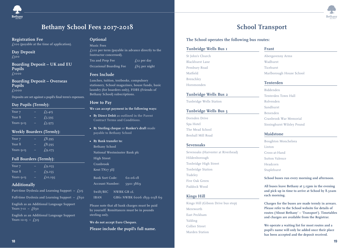

## **Bethany School Fees 2017-2018 School Transport**

## **£100 (payable at the time of application).**

**Day Deposit £500**

**Boarding Deposit – UK and EU Pupils £1000**

**Boarding Deposit – Overseas Pupils**

**£2000** 

**Deposits are set against a pupil's final term's expenses.**

## **Day Pupils (Termly):**

| Year 7     | $\sqrt{25.415}$ |  |
|------------|-----------------|--|
| Year 8     | $f_{5,595}$     |  |
| Years 9-13 | £5,975          |  |

## **Weekly Boarders (Termly):**

| Year 7     | £8,395 |
|------------|--------|
| Year 8     | £8,595 |
| Years 9-13 | £9,275 |

## **Full Boarders (Termly):**

| Year 7     | £9,055          |  |
|------------|-----------------|--|
| Year 8     | $\sqrt{.9,255}$ |  |
| Years 9-13 | $f_{10,195}$    |  |

## **Additionally**

Part-time Dyslexia and Learning Support –  $\overline{f}$ 315

**Full-time Dyslexia and Learning Support – £630**

**English as an Additional Language Support Years 7-11 – £630**

**English as an Additional Language Support Years 12-13 – £315**

## **Optional**

**Music Fees £210 per term (payable in advance directly to the Instructor concerned). Tea and Prep Fee**  $\qquad \qquad$  **£12 per day Occasional Boarding Fee £65 per night**

**Fees Include**

**Lunches, tuition, textbooks, compulsory stationery, School magazines, house funds, basic laundry (for boarders only), FOBS (Friends of Bethany School) subscriptions.**

#### **How to Pay**

**We can accept payment in the following ways:**

- **• By Direct Debit as outlined in the Parent Contract Terms and Conditions.**
- **By Sterling cheque or Banker's draft made payable to Bethany School**
- **• By Bank transfer to:**

**Bethany School National Westminster Bank plc High Street Cranbrook Kent TN17 3EJ**

| <b>Bank Sort Code:</b> | $60 - 6 - 18$ |
|------------------------|---------------|
| Account Number:        | 59013869      |

**Swift/BIC NWBK GB 2L IBAN GB61 NWBK 6006 1859 0138 69**

**Please note that all bank charges must be paid by yourself. Remittances must be in pounds sterling only.** 

**We do not accept Euro Cheques. Please include the pupil's full name.**

**Registration Fee Contains Containers Access Contains Contains Contains The School operates the following bus routes:** 

| Tunbridge Wells Bus I |
|-----------------------|
| St John's Church      |
| Blackhurst Lane       |
| Pembury Road          |
| Matfield              |
| Brenchley             |
| Horsmonden            |

#### **Tunbridge Wells Bus 2**

Tunbridge Wells Station

#### **Tunbridge Wells Bus 3**

Dornden Drive Spa Hotel The Mead School Benhall Mill Road

#### **Sevenoaks**

Sevenoaks (Harvester at Riverhead) Hildenborough Tonbridge High Street Tonbridge Station Tudeley Five Oak Green Paddock Wood

## **Kings Hill**

Kings Hill (Gibson Drive bus stop) Mereworth East Peckham Yalding Collier Street Marden Station

## **Frant**  Abergavenny Arms Wadhurst Ticehurst Marlborough House School

#### **Tenterden**

Biddenden Tenterden Town Hall Rolvenden Sandhurst Benenden Cranbrook War Memorial Sissinghurst Wilsley Pound

#### **Maidstone**

Boughton Monchelsea Linton Cross-at-Hand Sutton Valence Headcorn Staplehurst

**School buses run every morning and afternoon.** 

**All buses leave Bethany at 5.15pm in the evening and pick up in time to arrive at School by 8.30am each morning.**

**Charges for the buses are made termly in arrears. Please refer to the School website for details of routes ('About Bethany' – 'Transport'). Timetables and charges are available from the Registrar.**

**We operate a waiting list for most routes and a pupil's name will only be added once their place has been accepted and the deposit received.**